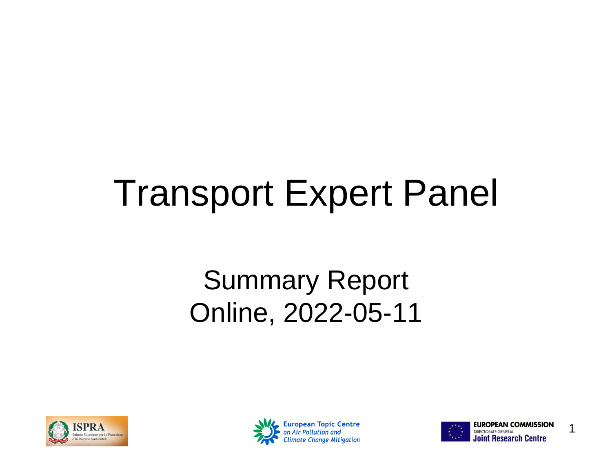## Transport Expert Panel

#### Summary Report Online, 2022-05-11





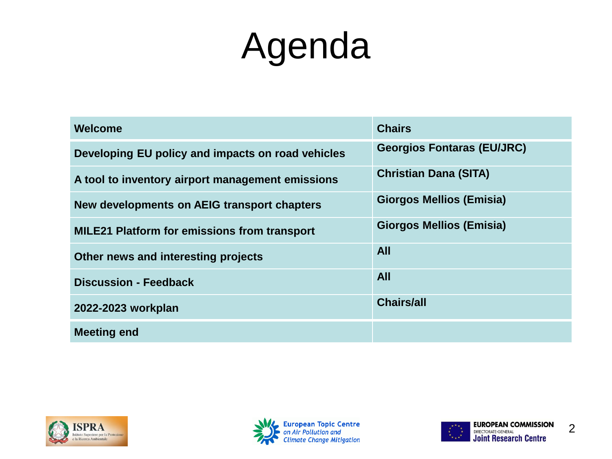## Agenda

| <b>Welcome</b>                                      | <b>Chairs</b>                     |
|-----------------------------------------------------|-----------------------------------|
| Developing EU policy and impacts on road vehicles   | <b>Georgios Fontaras (EU/JRC)</b> |
| A tool to inventory airport management emissions    | <b>Christian Dana (SITA)</b>      |
| New developments on AEIG transport chapters         | <b>Giorgos Mellios (Emisia)</b>   |
| <b>MILE21 Platform for emissions from transport</b> | <b>Giorgos Mellios (Emisia)</b>   |
| Other news and interesting projects                 | <b>All</b>                        |
| <b>Discussion - Feedback</b>                        | <b>All</b>                        |
| 2022-2023 workplan                                  | <b>Chairs/all</b>                 |
| <b>Meeting end</b>                                  |                                   |





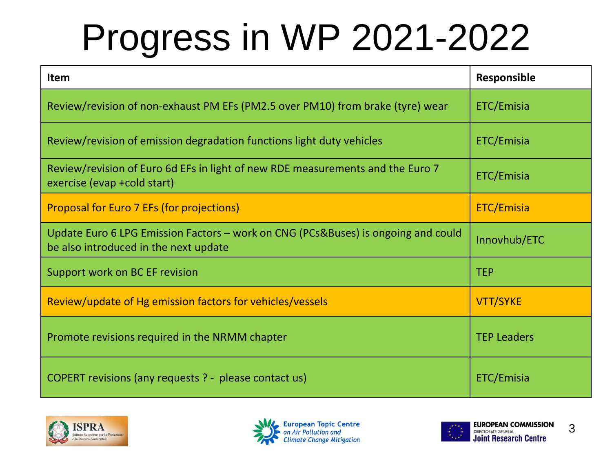# Progress in WP 2021-2022

| Item                                                                                                                       | <b>Responsible</b> |
|----------------------------------------------------------------------------------------------------------------------------|--------------------|
| Review/revision of non-exhaust PM EFs (PM2.5 over PM10) from brake (tyre) wear                                             | ETC/Emisia         |
| Review/revision of emission degradation functions light duty vehicles                                                      | ETC/Emisia         |
| Review/revision of Euro 6d EFs in light of new RDE measurements and the Euro 7<br>exercise (evap + cold start)             | ETC/Emisia         |
| Proposal for Euro 7 EFs (for projections)                                                                                  | ETC/Emisia         |
| Update Euro 6 LPG Emission Factors - work on CNG (PCs&Buses) is ongoing and could<br>be also introduced in the next update | Innovhub/ETC       |
| Support work on BC EF revision                                                                                             | <b>TEP</b>         |
| Review/update of Hg emission factors for vehicles/vessels                                                                  | <b>VTT/SYKE</b>    |
| Promote revisions required in the NRMM chapter                                                                             | <b>TEP Leaders</b> |
| COPERT revisions (any requests ? - please contact us)                                                                      | ETC/Emisia         |